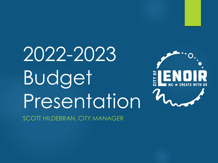2022-2023 Budget Presentation



SCOTT HILDEBRAN, CITY MANAGER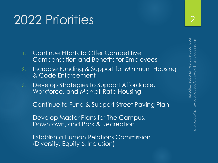### 2022 Priorities

- 1. Continue Efforts to Offer Competitive Compensation and Benefits for Employees
- 2. Increase Funding & Support for Minimum Housing & Code Enforcement
- 3. Develop Strategies to Support Affordable, Workforce, and Market-Rate Housing

Continue to Fund & Support Street Paving Plan

Develop Master Plans for The Campus, Downtown, and Park & Recreation

Establish a Human Relations Commission (Diversity, Equity & Inclusion)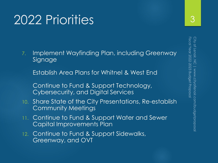### 2022 Priorities

7. Implement Wayfinding Plan, including Greenway Signage

Establish Area Plans for Whitnel & West End

Continue to Fund & Support Technology, Cybersecurity, and Digital Services

- 10. Share State of the City Presentations, Re-establish Community Meetings
- 11. Continue to Fund & Support Water and Sewer Capital Improvements Plan
- 12. Continue to Fund & Support Sidewalks, Greenway, and OVT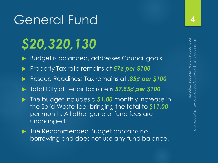### General Fund

# *\$20,320,130*

- Budget is balanced, addresses Council goals
- Property Tax rate remains at *57¢ per \$100*
- Rescue Readiness Tax remains at *.85¢ per \$100*
- Total City of Lenoir tax rate is *57.85¢ per \$100*
- The budget includes a *\$1.00* monthly increase in the Solid Waste fee, bringing the total to *\$11.00*  per month. All other general fund fees are unchanged.
- ▶ The Recommended Budget contains no borrowing and does not use any fund balance.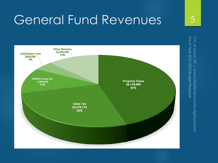#### General Fund Revenues 5



Fiscal Year 2022-2023 Budget Proposal City of Lenoir, NC | www.cityoflenoir.com/budgetproposal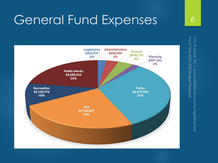#### General Fund Expenses 6

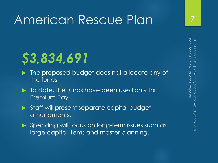#### American Rescue Plan

# *\$3,834,691*

- $\blacktriangleright$  The proposed budget does not allocate any of the funds.
- $\blacktriangleright$  To date, the funds have been used only for Premium Pay.
- Staff will present separate capital budget amendments.
- Spending will focus on long-term issues such as large capital items and master planning.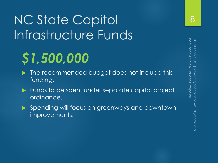## NC State Capitol Infrastructure Funds

# *\$1,500,000*

- The recommended budget does not include this funding.
- **Funds to be spent under separate capital project** ordinance.
- Spending will focus on greenways and downtown improvements.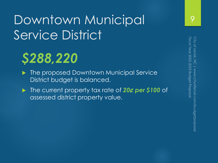## Downtown Municipal Service District

# *\$288,220*

- The proposed Downtown Municipal Service District budget is balanced.
- ▶ The current property tax rate of 20¢ per \$100 of assessed district property value.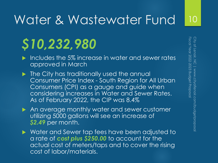## Water & Wastewater Fund

# *\$10,232,980*

- $\blacktriangleright$  Includes the 5% increase in water and sewer rates approved in March
- $\triangleright$  The City has traditionally used the annual Consumer Price Index - South Region for All Urban Consumers (CPI) as a gauge and guide when considering increases in Water and Sewer Rates. As of February 2022, the CIP was 8.4%
- An average monthly water and sewer customer utilizing 5000 gallons will see an increase of *\$2.49* per month.
- ▶ Water and Sewer tap fees have been adjusted to a rate of *cost plus \$250.00* to account for the actual cost of meters/taps and to cover the rising cost of labor/materials.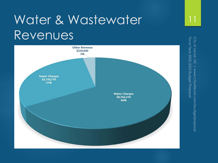## Water & Wastewater Revenues



11

Fiscal Year 2022-2023 Budget Proposal

City of Lenoir, NC | www.cityoflenoir.com/budgetproposa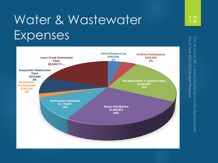## Water & Wastewater Expenses



Fiscal Year 2022-2023 Budget Proposa City of Lenoir, NC | www.cityoflenoir.com/budgetproposa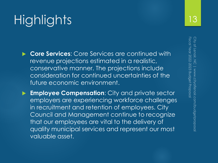**Core Services**: Core Services are continued with revenue projections estimated in a realistic, conservative manner. The projections include consideration for continued uncertainties of the future economic environment.

 **Employee Compensation**: City and private sector employers are experiencing workforce challenges in recruitment and retention of employees. City Council and Management continue to recognize that our employees are vital to the delivery of quality municipal services and represent our most valuable asset.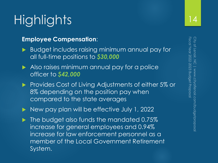#### **Employee Compensation**:

- Budget includes raising minimum annual pay for all full-time positions to *\$30,000*
- Also raises minimum annual pay for a police officer to *\$42,000*
- Provides Cost of Living Adjustments of either 5% or 8% depending on the position pay when compared to the state averages
- New pay plan will be effective July 1, 2022
- The budget also funds the mandated 0.75% increase for general employees and 0.94% increase for law enforcement personnel as a member of the Local Government Retirement System.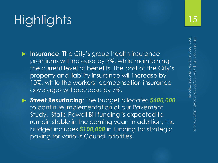- **Insurance:** The City's group health insurance premiums will increase by 3%, while maintaining the current level of benefits. The cost of the City's property and liability insurance will increase by 10%, while the workers' compensation insurance coverages will decrease by 7%.
- **Street Resurfacing**: The budget allocates *\$400,000*  to continue implementation of our Pavement Study. State Powell Bill funding is expected to remain stable in the coming year. In addition, the budget includes *\$100,000* in funding for strategic paving for various Council priorities.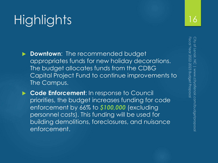- **Downtown**: The recommended budget appropriates funds for new holiday decorations. The budget allocates funds from the CDBG Capital Project Fund to continue improvements to The Campus.
- ▶ Code Enforcement: In response to Council priorities, the budget increases funding for code enforcement by 66% to *\$100,000* (excluding personnel costs). This funding will be used for building demolitions, foreclosures, and nuisance enforcement.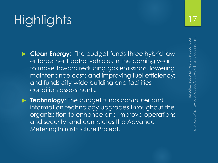- **Clean Energy:** The budget funds three hybrid law enforcement patrol vehicles in the coming year to move toward reducing gas emissions, lowering maintenance costs and improving fuel efficiency; and funds city-wide building and facilities condition assessments.
- **Fechnology:** The budget funds computer and information technology upgrades throughout the organization to enhance and improve operations and security; and completes the Advance Metering Infrastructure Project.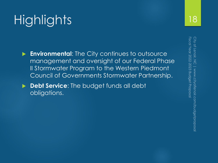- **Environmental**: The City continues to outsource management and oversight of our Federal Phase II Stormwater Program to the Western Piedmont Council of Governments Stormwater Partnership.
- **Debt Service:** The budget funds all debt obligations.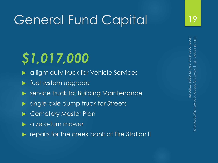## General Fund Capital

# *\$1,017,000*

- a light duty truck for Vehicle Services
- fuel system upgrade
- service truck for Building Maintenance
- single-axle dump truck for Streets
- Cemetery Master Plan
- a zero-turn mower
- repairs for the creek bank at Fire Station II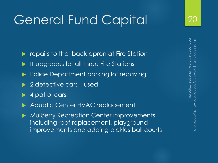## General Fund Capital

- repairs to the back apron at Fire Station I
- IT upgrades for all three Fire Stations
- Police Department parking lot repaving
- 2 detective cars used
- 4 patrol cars
- Aquatic Center HVAC replacement
- Mulberry Recreation Center improvements including roof replacement, playground improvements and adding pickles ball courts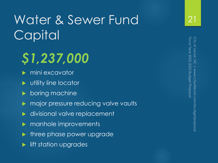## Water & Sewer Fund **Capital**

# *\$1,237,000*

- mini excavator
- utility line locator
- boring machine
- major pressure reducing valve vaults
- divisional valve replacement
- manhole improvements
- three phase power upgrade
- lift station upgrades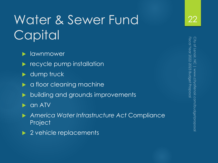## Water & Sewer Fund **Capital**

#### lawnmower

- recycle pump installation
- dump truck
- a floor cleaning machine
- building and grounds improvements
- an ATV
- *America Water Infrastructure Act* Compliance **Project**
- 2 vehicle replacements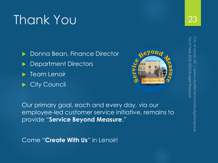## Thank You

- Donna Bean, Finance Director
- Department Directors
- Team Lenoir
- City Council



Our primary goal, each and every day, via our employee-led customer service initiative, remains to provide "**Service Beyond Measure**."

Come "**Create With Us**" in Lenoir!